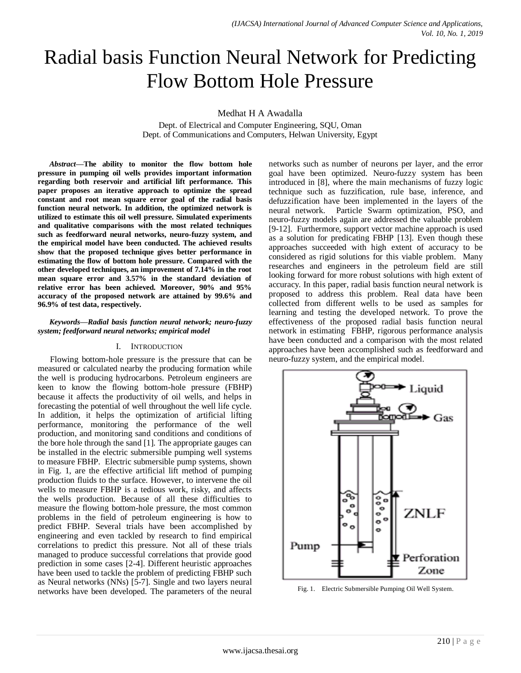# Radial basis Function Neural Network for Predicting Flow Bottom Hole Pressure

Medhat H A Awadalla

Dept. of Electrical and Computer Engineering, SQU, Oman Dept. of Communications and Computers, Helwan University, Egypt

*Abstract***—The ability to monitor the flow bottom hole pressure in pumping oil wells provides important information regarding both reservoir and artificial lift performance. This paper proposes an iterative approach to optimize the spread constant and root mean square error goal of the radial basis function neural network. In addition, the optimized network is utilized to estimate this oil well pressure. Simulated experiments and qualitative comparisons with the most related techniques such as feedforward neural networks, neuro-fuzzy system, and the empirical model have been conducted. The achieved results show that the proposed technique gives better performance in estimating the flow of bottom hole pressure. Compared with the other developed techniques, an improvement of 7.14% in the root mean square error and 3.57% in the standard deviation of relative error has been achieved. Moreover, 90% and 95% accuracy of the proposed network are attained by 99.6% and 96.9% of test data, respectively.**

#### *Keywords—Radial basis function neural network; neuro-fuzzy system; feedforward neural networks; empirical model*

# I. INTRODUCTION

Flowing bottom-hole pressure is the pressure that can be measured or calculated nearby the producing formation while the well is producing hydrocarbons. Petroleum engineers are keen to know the flowing bottom-hole pressure (FBHP) because it affects the productivity of oil wells, and helps in forecasting the potential of well throughout the well life cycle. In addition, it helps the optimization of artificial lifting performance, monitoring the performance of the well production, and monitoring sand conditions and conditions of the bore hole through the sand [1]. The appropriate gauges can be installed in the electric submersible pumping well systems to measure FBHP. Electric submersible pump systems, shown in Fig. 1, are the effective artificial lift method of pumping production fluids to the surface. However, to intervene the oil wells to measure FBHP is a tedious work, risky, and affects the wells production. Because of all these difficulties to measure the flowing bottom-hole pressure, the most common problems in the field of petroleum engineering is how to predict FBHP. Several trials have been accomplished by engineering and even tackled by research to find empirical correlations to predict this pressure. Not all of these trials managed to produce successful correlations that provide good prediction in some cases [2-4]. Different heuristic approaches have been used to tackle the problem of predicting FBHP such as Neural networks (NNs) [5-7]. Single and two layers neural networks have been developed. The parameters of the neural networks such as number of neurons per layer, and the error goal have been optimized. Neuro-fuzzy system has been introduced in [8], where the main mechanisms of fuzzy logic technique such as fuzzification, rule base, inference, and defuzzification have been implemented in the layers of the neural network. Particle Swarm optimization, PSO, and neuro-fuzzy models again are addressed the valuable problem [9-12]. Furthermore, support vector machine approach is used as a solution for predicating FBHP [13]. Even though these approaches succeeded with high extent of accuracy to be considered as rigid solutions for this viable problem. Many researches and engineers in the petroleum field are still looking forward for more robust solutions with high extent of accuracy. In this paper, radial basis function neural network is proposed to address this problem. Real data have been collected from different wells to be used as samples for learning and testing the developed network. To prove the effectiveness of the proposed radial basis function neural network in estimating FBHP, rigorous performance analysis have been conducted and a comparison with the most related approaches have been accomplished such as feedforward and neuro-fuzzy system, and the empirical model.



Fig. 1. Electric Submersible Pumping Oil Well System.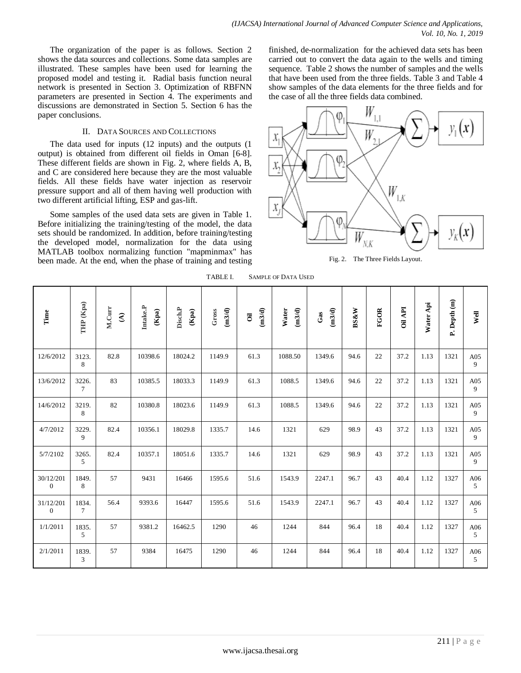The organization of the paper is as follows. Section 2 shows the data sources and collections. Some data samples are illustrated. These samples have been used for learning the proposed model and testing it. Radial basis function neural network is presented in Section 3. Optimization of RBFNN parameters are presented in Section 4. The experiments and discussions are demonstrated in Section 5. Section 6 has the paper conclusions.

# II. DATA SOURCES AND COLLECTIONS

The data used for inputs (12 inputs) and the outputs (1 output) is obtained from different oil fields in Oman [6-8]. These different fields are shown in Fig. 2, where fields A, B, and C are considered here because they are the most valuable fields. All these fields have water injection as reservoir pressure support and all of them having well production with two different artificial lifting, ESP and gas-lift.

Some samples of the used data sets are given in Table 1. Before initializing the training/testing of the model, the data sets should be randomized. In addition, before training/testing the developed model, normalization for the data using MATLAB toolbox normalizing function "mapminmax" has been made. At the end, when the phase of training and testing finished, de-normalization for the achieved data sets has been carried out to convert the data again to the wells and timing sequence. Table 2 shows the number of samples and the wells that have been used from the three fields. Table 3 and Table 4 show samples of the data elements for the three fields and for the case of all the three fields data combined.



Fig. 2. The Three Fields Layout.

| Time                        | THP (Kpa)                | M.Curr<br>$\mathfrak{S}$ | Intake.P<br>$(\mathbf{Kpa})$ | <b>Disch.P</b><br>$\left(\mathbf{K}\mathbf{pa}\right)$ | (m3/d)<br>Gross | (m3/d)<br>$\ddot{\mathbf{c}}$ | Water<br>(m3/d) | (m3/d)<br>Gas | <b>BS&amp;W</b> | <b>FGOR</b> | <b>Oil API</b> | Water Api | P. Depth (m) | Well                  |
|-----------------------------|--------------------------|--------------------------|------------------------------|--------------------------------------------------------|-----------------|-------------------------------|-----------------|---------------|-----------------|-------------|----------------|-----------|--------------|-----------------------|
| 12/6/2012                   | 3123.<br>8               | 82.8                     | 10398.6                      | 18024.2                                                | 1149.9          | 61.3                          | 1088.50         | 1349.6        | 94.6            | 22          | 37.2           | 1.13      | 1321         | A05<br>9              |
| 13/6/2012                   | 3226.<br>$7\overline{ }$ | 83                       | 10385.5                      | 18033.3                                                | 1149.9          | 61.3                          | 1088.5          | 1349.6        | 94.6            | 22          | 37.2           | 1.13      | 1321         | A05<br>9              |
| 14/6/2012                   | 3219.<br>8               | 82                       | 10380.8                      | 18023.6                                                | 1149.9          | 61.3                          | 1088.5          | 1349.6        | 94.6            | 22          | 37.2           | 1.13      | 1321         | A05<br>9              |
| 4/7/2012                    | 3229.<br>9               | 82.4                     | 10356.1                      | 18029.8                                                | 1335.7          | 14.6                          | 1321            | 629           | 98.9            | 43          | 37.2           | 1.13      | 1321         | A05<br>9              |
| 5/7/2102                    | 3265.<br>$5^{\circ}$     | 82.4                     | 10357.1                      | 18051.6                                                | 1335.7          | 14.6                          | 1321            | 629           | 98.9            | 43          | 37.2           | 1.13      | 1321         | A05<br>9              |
| 30/12/201<br>$\overline{0}$ | 1849.<br>8               | 57                       | 9431                         | 16466                                                  | 1595.6          | 51.6                          | 1543.9          | 2247.1        | 96.7            | 43          | 40.4           | 1.12      | 1327         | A06<br>$5^{\circ}$    |
| 31/12/201<br>$\overline{0}$ | 1834.<br>$7\overline{ }$ | 56.4                     | 9393.6                       | 16447                                                  | 1595.6          | 51.6                          | 1543.9          | 2247.1        | 96.7            | 43          | 40.4           | 1.12      | 1327         | A06<br>5              |
| 1/1/2011                    | 1835.<br>$\mathfrak{S}$  | 57                       | 9381.2                       | 16462.5                                                | 1290            | 46                            | 1244            | 844           | 96.4            | 18          | 40.4           | 1.12      | 1327         | A06<br>5              |
| 2/1/2011                    | 1839.<br>$\mathfrak{Z}$  | 57                       | 9384                         | 16475                                                  | 1290            | 46                            | 1244            | 844           | 96.4            | 18          | 40.4           | 1.12      | 1327         | A06<br>$\mathfrak{H}$ |

TABLE I. SAMPLE OF DATA USED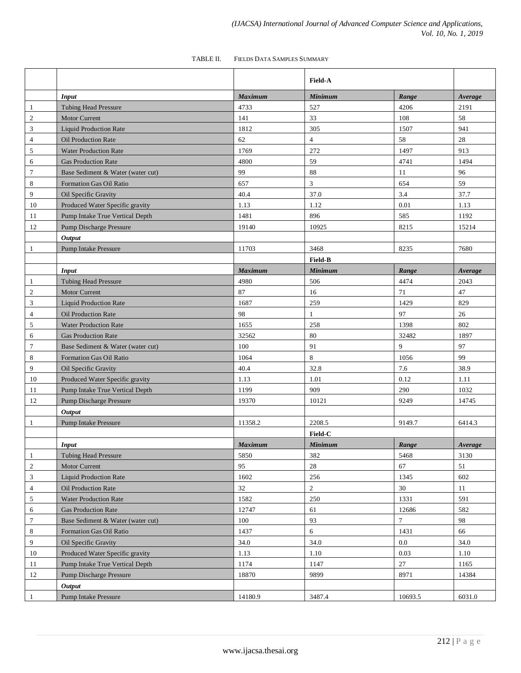|                |                                   |                | <b>Field-A</b> |         |         |
|----------------|-----------------------------------|----------------|----------------|---------|---------|
|                | <b>Input</b>                      | <b>Maximum</b> | <b>Minimum</b> | Range   | Average |
| -1             | <b>Tubing Head Pressure</b>       | 4733           | 527            | 4206    | 2191    |
| 2              | <b>Motor Current</b>              | 141            | 33             | 108     | 58      |
| 3              | <b>Liquid Production Rate</b>     | 1812           | 305            | 1507    | 941     |
| $\overline{4}$ | <b>Oil Production Rate</b>        | 62             | $\overline{4}$ | 58      | 28      |
| 5              | <b>Water Production Rate</b>      | 1769           | 272            | 1497    | 913     |
| 6              | <b>Gas Production Rate</b>        | 4800           | 59             | 4741    | 1494    |
| $\tau$         | Base Sediment & Water (water cut) | 99             | 88             | 11      | 96      |
| 8              | Formation Gas Oil Ratio           | 657            | $\mathfrak{Z}$ | 654     | 59      |
| 9              | Oil Specific Gravity              | 40.4           | 37.0           | 3.4     | 37.7    |
| 10             | Produced Water Specific gravity   | 1.13           | 1.12           | 0.01    | 1.13    |
| 11             | Pump Intake True Vertical Depth   | 1481           | 896            | 585     | 1192    |
| 12             | <b>Pump Discharge Pressure</b>    | 19140          | 10925          | 8215    | 15214   |
|                | Output                            |                |                |         |         |
| $\mathbf{1}$   | <b>Pump Intake Pressure</b>       | 11703          | 3468           | 8235    | 7680    |
|                |                                   |                | <b>Field-B</b> |         |         |
|                | Input                             | Maximum        | <b>Minimum</b> | Range   | Average |
| $\mathbf{1}$   | <b>Tubing Head Pressure</b>       | 4980           | 506            | 4474    | 2043    |
| $\sqrt{2}$     | <b>Motor Current</b>              | 87             | 16             | 71      | 47      |
| $\mathfrak{Z}$ | <b>Liquid Production Rate</b>     | 1687           | 259            | 1429    | 829     |
| $\overline{4}$ | <b>Oil Production Rate</b>        | 98             | $\mathbf{1}$   | 97      | 26      |
| 5              | <b>Water Production Rate</b>      | 1655           | 258            | 1398    | 802     |
| 6              | <b>Gas Production Rate</b>        | 32562          | 80             | 32482   | 1897    |
| $\tau$         | Base Sediment & Water (water cut) | 100            | 91             | 9       | 97      |
| 8              | Formation Gas Oil Ratio           | 1064           | $\,8\,$        | 1056    | 99      |
| 9              | Oil Specific Gravity              | 40.4           | 32.8           | 7.6     | 38.9    |
| 10             | Produced Water Specific gravity   | 1.13           | 1.01           | 0.12    | 1.11    |
| 11             | Pump Intake True Vertical Depth   | 1199           | 909            | 290     | 1032    |
| 12             | <b>Pump Discharge Pressure</b>    | 19370          | 10121          | 9249    | 14745   |
|                | <b>Output</b>                     |                |                |         |         |
| $\mathbf{1}$   | <b>Pump Intake Pressure</b>       | 11358.2        | 2208.5         | 9149.7  | 6414.3  |
|                |                                   |                | Field-C        |         |         |
|                | <b>Input</b>                      | Maximum        | <b>Minimum</b> | Range   | Average |
| $\mathbf{1}$   | <b>Tubing Head Pressure</b>       | 5850           | 382            | 5468    | 3130    |
| $\sqrt{2}$     | <b>Motor Current</b>              | 95             | $28\,$         | 67      | 51      |
| 3              | <b>Liquid Production Rate</b>     | 1602           | 256            | 1345    | 602     |
| $\overline{4}$ | Oil Production Rate               | 32             | $\overline{c}$ | 30      | 11      |
| 5              | <b>Water Production Rate</b>      | 1582           | 250            | 1331    | 591     |
| 6              | <b>Gas Production Rate</b>        | 12747          | 61             | 12686   | 582     |
| $\tau$         | Base Sediment & Water (water cut) | 100            | 93             | 7       | 98      |
| 8              | Formation Gas Oil Ratio           | 1437           | 6              | 1431    | 66      |
| 9              | Oil Specific Gravity              | 34.0           | 34.0           | 0.0     | 34.0    |
| 10             | Produced Water Specific gravity   | 1.13           | 1.10           | 0.03    | 1.10    |
| 11             | Pump Intake True Vertical Depth   | 1174           | 1147           | 27      | 1165    |
| 12             | <b>Pump Discharge Pressure</b>    | 18870          | 9899           | 8971    | 14384   |
|                | Output                            |                |                |         |         |
| $\mathbf{1}$   | <b>Pump Intake Pressure</b>       | 14180.9        | 3487.4         | 10693.5 | 6031.0  |

# TABLE II. FIELDS DATA SAMPLES SUMMARY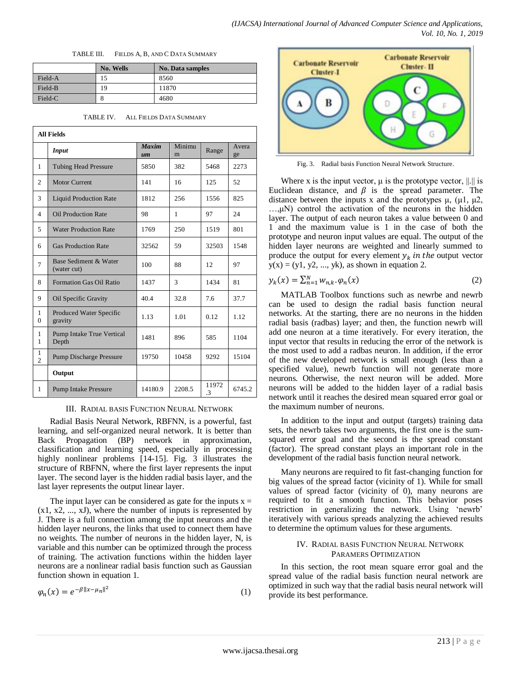|  | TABLE III. | FIELDS A, B, AND C DATA SUMMARY |
|--|------------|---------------------------------|
|--|------------|---------------------------------|

|         | No. Wells | <b>No. Data samples</b> |
|---------|-----------|-------------------------|
| Field-A | 15        | 8560                    |
| Field-B | 19        | 11870                   |
| Field-C | Õ         | 4680                    |

| <b>All Fields</b>              |                                           |                    |               |             |             |  |  |
|--------------------------------|-------------------------------------------|--------------------|---------------|-------------|-------------|--|--|
|                                | <b>Input</b>                              | <b>Maxim</b><br>um | Minimu<br>m   | Range       | Avera<br>ge |  |  |
| $\mathbf{1}$                   | <b>Tubing Head Pressure</b>               | 5850               | 382           | 5468        | 2273        |  |  |
| $\overline{c}$                 | <b>Motor Current</b>                      | 141                | 16            | 125         | 52          |  |  |
| 3                              | <b>Liquid Production Rate</b>             | 1812               | 256           | 1556        | 825         |  |  |
| $\overline{4}$                 | <b>Oil Production Rate</b>                | 98                 | $\mathbf{1}$  | 97          | 24          |  |  |
| 5                              | <b>Water Production Rate</b>              | 1769               | 250           | 1519        | 801         |  |  |
| 6                              | <b>Gas Production Rate</b>                | 32562              | 59            | 32503       | 1548        |  |  |
| 7                              | Base Sediment & Water<br>(water cut)      | 100                | 88            | 12          | 97          |  |  |
| 8                              | <b>Formation Gas Oil Ratio</b>            | 1437               | $\mathcal{L}$ | 1434        | 81          |  |  |
| 9                              | Oil Specific Gravity                      | 40.4               | 32.8          | 7.6         | 37.7        |  |  |
| $\mathbf{1}$<br>$\Omega$       | Produced Water Specific<br>gravity        | 1.13               | 1.01          | 0.12        | 1.12        |  |  |
| 1<br>$\mathbf{1}$              | <b>Pump Intake True Vertical</b><br>Depth | 1481               | 896           | 585         | 1104        |  |  |
| $\mathbf{1}$<br>$\overline{c}$ | <b>Pump Discharge Pressure</b>            | 19750              | 10458         | 9292        | 15104       |  |  |
|                                | Output                                    |                    |               |             |             |  |  |
| 1                              | <b>Pump Intake Pressure</b>               | 14180.9            | 2208.5        | 11972<br>.3 | 6745.2      |  |  |

TABLE IV. ALL FIELDS DATA SUMMARY

# III. RADIAL BASIS FUNCTION NEURAL NETWORK

Radial Basis Neural Network, RBFNN, is a powerful, fast learning, and self-organized neural network. It is better than Back Propagation (BP) network in approximation, classification and learning speed, especially in processing highly nonlinear problems [14-15]. Fig. 3 illustrates the structure of RBFNN, where the first layer represents the input layer. The second layer is the hidden radial basis layer, and the last layer represents the output linear layer.

The input layer can be considered as gate for the inputs  $x =$  $(x1, x2, \ldots, xJ)$ , where the number of inputs is represented by J. There is a full connection among the input neurons and the hidden layer neurons, the links that used to connect them have no weights. The number of neurons in the hidden layer, N, is variable and this number can be optimized through the process of training. The activation functions within the hidden layer neurons are a nonlinear radial basis function such as Gaussian function shown in equation 1.

$$
\varphi_n(x) = e^{-\beta \|x - \mu_n\|^2} \tag{1}
$$



Fig. 3. Radial basis Function Neural Network Structure.

Where x is the input vector,  $\mu$  is the prototype vector,  $\|\cdot\|$  is Euclidean distance, and  $\beta$  is the spread parameter. The distance between the inputs x and the prototypes  $\mu$ , ( $\mu$ 1,  $\mu$ 2, …,μN) control the activation of the neurons in the hidden layer. The output of each neuron takes a value between 0 and 1 and the maximum value is 1 in the case of both the prototype and neuron input values are equal. The output of the hidden layer neurons are weighted and linearly summed to produce the output for every element  $y_k$  in the output vector  $y(x) = (y1, y2, ..., yk)$ , as shown in equation 2.

$$
y_k(x) = \sum_{n=1}^N w_{n,k} \cdot \varphi_n(x) \tag{2}
$$

MATLAB Toolbox functions such as newrbe and newrb can be used to design the radial basis function neural networks. At the starting, there are no neurons in the hidden radial basis (radbas) layer; and then, the function newrb will add one neuron at a time iteratively. For every iteration, the input vector that results in reducing the error of the network is the most used to add a radbas neuron. In addition, if the error of the new developed network is small enough (less than a specified value), newrb function will not generate more neurons. Otherwise, the next neuron will be added. More neurons will be added to the hidden layer of a radial basis network until it reaches the desired mean squared error goal or the maximum number of neurons.

In addition to the input and output (targets) training data sets, the newrb takes two arguments, the first one is the sumsquared error goal and the second is the spread constant (factor). The spread constant plays an important role in the development of the radial basis function neural network.

Many neurons are required to fit fast-changing function for big values of the spread factor (vicinity of 1). While for small values of spread factor (vicinity of 0), many neurons are required to fit a smooth function. This behavior poses restriction in generalizing the network. Using "newrb" iteratively with various spreads analyzing the achieved results to determine the optimum values for these arguments.

# IV. RADIAL BASIS FUNCTION NEURAL NETWORK PARAMERS OPTIMIZATION

In this section, the root mean square error goal and the spread value of the radial basis function neural network are optimized in such way that the radial basis neural network will provide its best performance.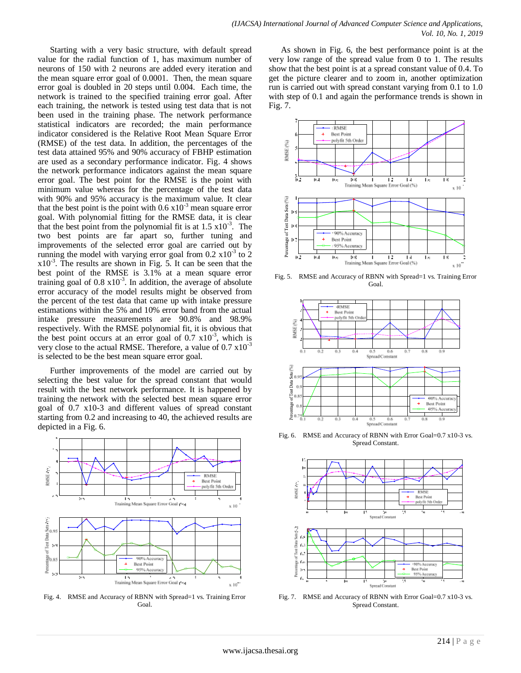Starting with a very basic structure, with default spread value for the radial function of 1, has maximum number of neurons of 150 with 2 neurons are added every iteration and the mean square error goal of 0.0001. Then, the mean square error goal is doubled in 20 steps until 0.004. Each time, the network is trained to the specified training error goal. After each training, the network is tested using test data that is not been used in the training phase. The network performance statistical indicators are recorded; the main performance indicator considered is the Relative Root Mean Square Error (RMSE) of the test data. In addition, the percentages of the test data attained 95% and 90% accuracy of FBHP estimation are used as a secondary performance indicator. Fig. 4 shows the network performance indicators against the mean square error goal. The best point for the RMSE is the point with minimum value whereas for the percentage of the test data with 90% and 95% accuracy is the maximum value. It clear that the best point is the point with  $0.6 \times 10^{-3}$  mean square error goal. With polynomial fitting for the RMSE data, it is clear that the best point from the polynomial fit is at  $1.5 \times 10^{-3}$ . The two best points are far apart so, further tuning and improvements of the selected error goal are carried out by running the model with varying error goal from  $0.2 \times 10^{-3}$  to  $2$  $x10^{-3}$ . The results are shown in Fig. 5. It can be seen that the best point of the RMSE is 3.1% at a mean square error training goal of  $0.8 \times 10^{-3}$ . In addition, the average of absolute error accuracy of the model results might be observed from the percent of the test data that came up with intake pressure estimations within the 5% and 10% error band from the actual intake pressure measurements are 90.8% and 98.9% respectively. With the RMSE polynomial fit, it is obvious that the best point occurs at an error goal of  $0.7 \times 10^{-3}$ , which is very close to the actual RMSE. Therefore, a value of  $0.7 \times 10^{-3}$ is selected to be the best mean square error goal.

Further improvements of the model are carried out by selecting the best value for the spread constant that would result with the best network performance. It is happened by training the network with the selected best mean square error goal of 0.7 x10-3 and different values of spread constant starting from 0.2 and increasing to 40, the achieved results are depicted in a Fig. 6.



Fig. 4. RMSE and Accuracy of RBNN with Spread=1 vs. Training Error Goal.

As shown in Fig. 6, the best performance point is at the very low range of the spread value from 0 to 1. The results show that the best point is at a spread constant value of 0.4. To get the picture clearer and to zoom in, another optimization run is carried out with spread constant varying from 0.1 to 1.0 with step of 0.1 and again the performance trends is shown in Fig. 7.



Fig. 5. RMSE and Accuracy of RBNN with Spread=1 vs. Training Error Goal.



Fig. 6. RMSE and Accuracy of RBNN with Error Goal=0.7 x10-3 vs. Spread Constant.



Fig. 7. RMSE and Accuracy of RBNN with Error Goal=0.7 x10-3 vs. Spread Constant.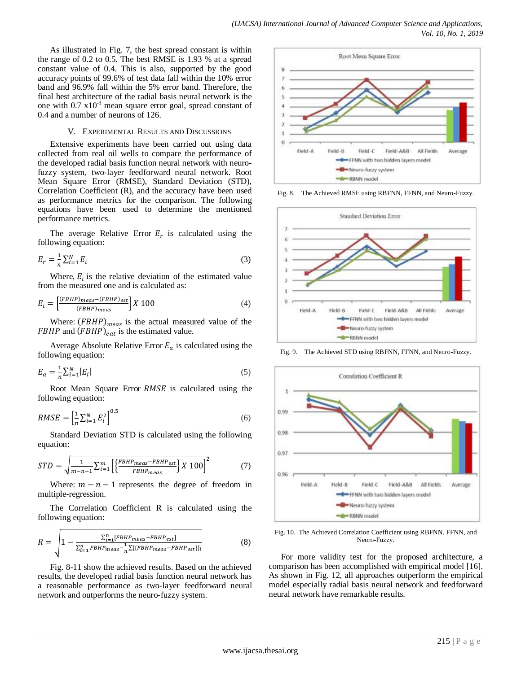As illustrated in Fig. 7, the best spread constant is within the range of 0.2 to 0.5. The best RMSE is 1.93 % at a spread constant value of 0.4. This is also, supported by the good accuracy points of 99.6% of test data fall within the 10% error band and 96.9% fall within the 5% error band. Therefore, the final best architecture of the radial basis neural network is the one with  $0.7 \times 10^{-3}$  mean square error goal, spread constant of 0.4 and a number of neurons of 126.

# V. EXPERIMENTAL RESULTS AND DISCUSSIONS

Extensive experiments have been carried out using data collected from real oil wells to compare the performance of the developed radial basis function neural network with neurofuzzy system, two-layer feedforward neural network. Root Mean Square Error (RMSE), Standard Deviation (STD), Correlation Coefficient (R), and the accuracy have been used as performance metrics for the comparison. The following equations have been used to determine the mentioned performance metrics.

The average Relative Error  $E_r$  is calculated using the following equation:

$$
E_r = \frac{1}{n} \sum_{i=1}^{N} E_i \tag{3}
$$

Where,  $E_i$  is the relative deviation of the estimated value from the measured one and is calculated as:

$$
E_i = \left[\frac{\text{(FBHP)}_{meas} - \text{(FBHP)}_{est}}{\text{(FBHP)}_{meas}}\right] X 100\tag{4}
$$

Where:  $(FBHP)_{meas}$  is the actual measured value of the FBHP and  $(FBHP)_{eat}$  is the estimated value.

Average Absolute Relative Error  $E_a$  is calculated using the following equation:

$$
E_a = \frac{1}{n} \sum_{i=1}^{N} |E_i|
$$
\n<sup>(5)</sup>

Root Mean Square Error RMSE is calculated using the following equation:

$$
RMSE = \left[\frac{1}{n}\sum_{i=1}^{N} E_i^2\right]^{0.5} \tag{6}
$$

Standard Deviation STD is calculated using the following equation:

$$
STD = \sqrt{\frac{1}{m-n-1} \sum_{i=1}^{m} \left[ \left\{ \frac{FBHP_{meas} - FBHP_{est}}{FBHP_{meas}} \right\} X \, 100 \right]^2} \tag{7}
$$

Where:  $m - n - 1$  represents the degree of freedom in multiple-regression.

The Correlation Coefficient R is calculated using the following equation:

$$
R = \sqrt{1 - \frac{\Sigma_{i=1}^{n} [FBHP_{meas} - FBHP_{est}]}{\Sigma_{i=1}^{n} FBHP_{meas} - \frac{1}{n} \Sigma [FBHP_{meas} - FBHP_{est}]]_i}}
$$
(8)

Fig. 8-11 show the achieved results. Based on the achieved results, the developed radial basis function neural network has a reasonable performance as two-layer feedforward neural network and outperforms the neuro-fuzzy system.



Fig. 8. The Achieved RMSE using RBFNN, FFNN, and Neuro-Fuzzy.



Fig. 9. The Achieved STD using RBFNN, FFNN, and Neuro-Fuzzy.



Fig. 10. The Achieved Correlation Coefficient using RBFNN, FFNN, and Neuro-Fuzzy.

For more validity test for the proposed architecture, a comparison has been accomplished with empirical model [16]. As shown in Fig. 12, all approaches outperform the empirical model especially radial basis neural network and feedforward neural network have remarkable results.